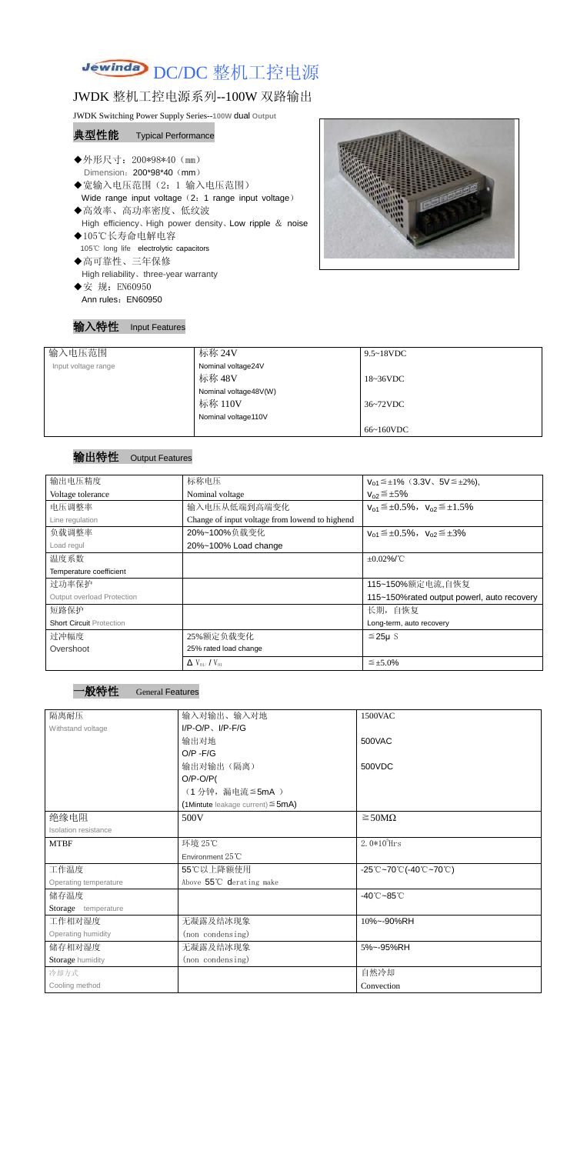

## JWDK 整机工控电源系列--100W 双路输出

JWDK Switching Power Supply Series--**100W** dual **Output**

## 典型性能 Typical Performance

- ◆外形尺寸: 200\*98\*40 (mm) Dimension: 200\*98\*40 (mm)
- ◆宽输入电压范围(2:1 输入电压范围) Wide range input voltage (2: 1 range input voltage)
- ◆高效率、高功率密度、低纹波 High efficiency、High power density、Low ripple & noise
- ◆105℃长寿命电解电容 105℃ long life electrolytic capacitors
- ◆高可靠性、三年保修 High reliability、three-year warranty ◆安 规: EN60950
	- Ann rules: EN60950





| 输入电压范围              | 标称 24V                | $9.5 \sim 18$ VDC   |
|---------------------|-----------------------|---------------------|
| Input voltage range | Nominal voltage24V    |                     |
|                     | 标称 48V                | $18~36\textrm{VDC}$ |
|                     | Nominal voltage48V(W) |                     |
|                     | 标称 110V               | 36~72VDC            |
|                     | Nominal voltage110V   |                     |
|                     |                       | 66~160VDC           |

## 输出特性 Output Features

一般特性 General Features

| 输出电压精度                            | 标称电压                                           | $V_{01} \leq \pm 1\%$ (3.3V, 5V $\leq \pm 2\%$ ), |
|-----------------------------------|------------------------------------------------|---------------------------------------------------|
| Voltage tolerance                 | Nominal voltage                                | $V_{02} \leq \pm 5\%$                             |
| 电压调整率                             | 输入电压从低端到高端变化                                   | $V_{01} \leq \pm 0.5\%$ , $V_{02} \leq \pm 1.5\%$ |
| Line regulation                   | Change of input voltage from lowend to highend |                                                   |
| 负载调整率                             | 20%~100%负载变化                                   | $V_{01} \leq \pm 0.5\%$ , $V_{02} \leq \pm 3\%$   |
| Load regul                        | 20%~100% Load change                           |                                                   |
| 温度系数                              |                                                | $\pm 0.02\%$ /°C                                  |
| Temperature coefficient           |                                                |                                                   |
| 过功率保护                             |                                                | 115~150%额定电流,自恢复                                  |
| <b>Output overload Protection</b> |                                                | 115~150% rated output powerl, auto recovery       |
| 短路保护                              |                                                | 长期, 自恢复                                           |
| <b>Short Circuit Protection</b>   |                                                | Long-term, auto recovery                          |
| 过冲幅度                              | 25%额定负载变化                                      | $≤25\mu$ S                                        |
| Overshoot                         | 25% rated load change                          |                                                   |
|                                   | $\Delta$ V <sub>01</sub> /V <sub>01</sub>      | $\leq \pm 5.0\%$                                  |

| 隔离耐压                  | 输入对输出、输入对地                                | 1500VAC                                                                               |
|-----------------------|-------------------------------------------|---------------------------------------------------------------------------------------|
| Withstand voltage     | $I/P-O/P$ , $I/P-F/G$                     |                                                                                       |
|                       | 输出对地                                      | 500VAC                                                                                |
|                       | $O/P - F/G$                               |                                                                                       |
|                       | 输出对输出(隔离)                                 | 500VDC                                                                                |
|                       | $O/P-O/P($                                |                                                                                       |
|                       | (1分钟,漏电流≦5mA)                             |                                                                                       |
|                       | $(1$ Mintute leakage current) $\leq$ 5mA) |                                                                                       |
| 绝缘电阻                  | 500V                                      | $\geq$ 50M $\Omega$                                                                   |
| Isolation resistance  |                                           |                                                                                       |
| <b>MTBF</b>           | 环境 25℃                                    | $2.0*105$ Hrs                                                                         |
|                       | Environment 25°C                          |                                                                                       |
| 工作温度                  | 55℃以上降额使用                                 | $-25^{\circ}\text{C}-70^{\circ}\text{C}$ (-40 $^{\circ}\text{C}-70^{\circ}\text{C}$ ) |
| Operating temperature | Above 55°C derating make                  |                                                                                       |
| 储存温度                  |                                           | $-40^{\circ}$ C $-85^{\circ}$ C                                                       |
| Storage temperature   |                                           |                                                                                       |
| 工作相对湿度                | 无凝露及结冰现象                                  | 10%~-90%RH                                                                            |
| Operating humidity    | (non condensing)                          |                                                                                       |
| 储存相对湿度                | 无凝露及结冰现象                                  | 5%~-95%RH                                                                             |
| Storage humidity      | (non condensing)                          |                                                                                       |
| 冷却方式                  |                                           | 自然冷却                                                                                  |
| Cooling method        |                                           | Convection                                                                            |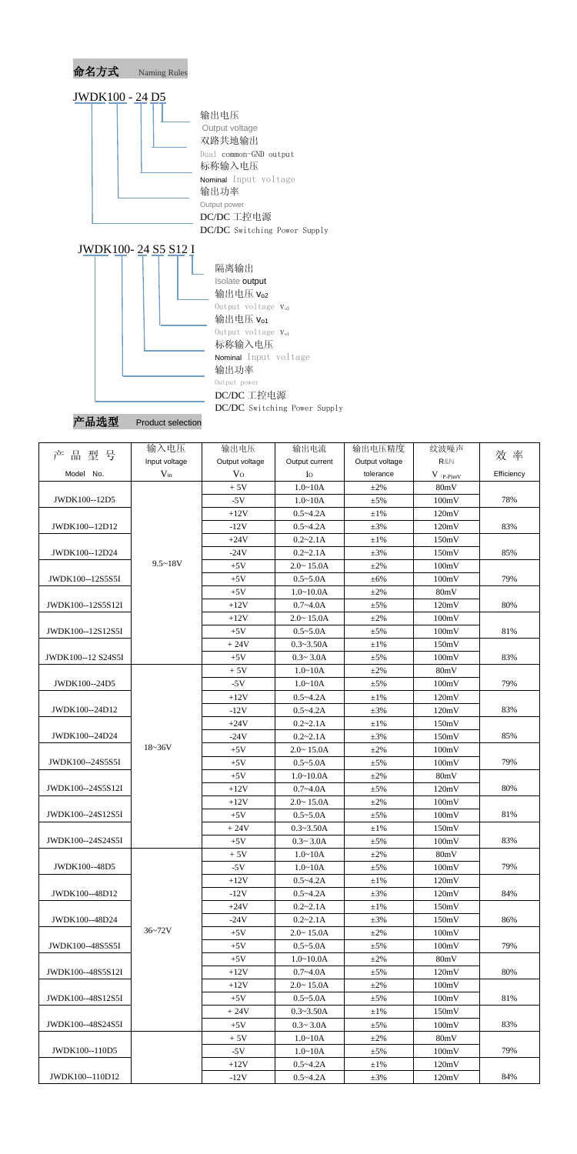

| '品选型 | <b>Product selection</b> |
|------|--------------------------|
|------|--------------------------|

|                    | 输入电压          | 输出电压           | 输出电流           | 输出电压精度         | 纹波噪声                    |            |
|--------------------|---------------|----------------|----------------|----------------|-------------------------|------------|
| 品型号<br>产           | Input voltage | Output voltage | Output current | Output voltage | R&N                     | 效 率        |
| Model No.          | $V_{in}$      | V <sub>O</sub> | Io             | tolerance      | $V$ $_{(P\text{-}P)mV}$ | Efficiency |
|                    |               | $+5V$          | $1.0 - 10A$    | $\pm 2\%$      | 80mV                    |            |
| JWDK100--12D5      |               | $-5V$          | $1.0 - 10A$    | $\pm$ 5%       | 100mV                   | 78%        |
|                    |               | $+12V$         | $0.5 - 4.2A$   | $\pm 1\%$      | 120mV                   |            |
| JWDK100--12D12     |               | $-12V$         | $0.5 - 4.2A$   | $\pm 3\%$      | 120mV                   | 83%        |
|                    |               | $+24V$         | $0.2 - 2.1A$   | $\pm 1\%$      | 150mV                   |            |
| JWDK100--12D24     |               | $-24V$         | $0.2 - 2.1A$   | $\pm 3\%$      | 150mV                   | 85%        |
|                    | $9.5 - 18V$   | $+5V$          | $2.0 - 15.0A$  | $\pm 2\%$      | 100mV                   |            |
| JWDK100--12S5S5I   |               | $+5V$          | $0.5 - 5.0A$   | ±6%            | 100mV                   | 79%        |
|                    |               | $+5V$          | $1.0 - 10.0A$  | $±2\%$         | 80mV                    |            |
| JWDK100--12S5S12I  |               | $+12V$         | $0.7 - 4.0A$   | ±5%            | 120mV                   | 80%        |
|                    |               | $+12V$         | $2.0 - 15.0A$  | $\pm 2\%$      | 100mV                   |            |
| JWDK100--12S12S5I  |               | $+5V$          | $0.5 - 5.0A$   | $\pm 5\%$      | 100mV                   | 81%        |
|                    |               | $+24V$         | $0.3 - 3.50A$  | $\pm 1\%$      | 150mV                   |            |
| JWDK100--12 S24S5I |               | $+5V$          | $0.3 - 3.0A$   | $\pm$ 5%       | 100mV                   | 83%        |
|                    |               | $+5V$          | $1.0 - 10A$    | $±2\%$         | 80mV                    |            |
| JWDK100--24D5      |               | $-5V$          | $1.0 - 10A$    | ±5%            | 100mV                   | 79%        |
|                    |               | $+12V$         | $0.5 - 4.2A$   | $\pm 1\%$      | 120mV                   |            |
| JWDK100--24D12     |               | $-12V$         | $0.5 - 4.2A$   | $\pm 3\%$      | 120mV                   | 83%        |
|                    |               | $+24V$         | $0.2 - 2.1A$   | $\pm 1\%$      | 150mV                   |            |
| JWDK100--24D24     |               | $-24V$         | $0.2 - 2.1A$   | $\pm 3\%$      | 150mV                   | 85%        |
|                    | $18 - 36V$    | $+5V$          | $2.0 - 15.0A$  | $±2\%$         | 100mV                   |            |
| JWDK100--24S5S5I   |               | $+5V$          | $0.5 - 5.0A$   | $\pm$ 5%       | 100mV                   | 79%        |
|                    |               | $+5V$          | $1.0 - 10.0A$  | $\pm 2\%$      | 80mV                    |            |
| JWDK100--24S5S12I  |               | $+12V$         | $0.7 - 4.0A$   | $\pm 5\%$      | 120mV                   | 80%        |
|                    |               | $+12V$         | $2.0 - 15.0A$  | $\pm 2\%$      | 100mV                   |            |
| JWDK100--24S12S5I  |               | $+5V$          | $0.5 - 5.0A$   | ±5%            | 100mV                   | 81%        |
|                    |               | $+24V$         | $0.3 - 3.50A$  | ±1%            | 150mV                   |            |
| JWDK100--24S24S5I  |               | $+5V$          | $0.3 - 3.0A$   | $±5\%$         | 100mV                   | 83%        |
|                    |               | $+5V$          | $1.0 - 10A$    | $\pm 2\%$      | 80mV                    |            |
| JWDK100--48D5      |               | $-5V$          | $1.0 - 10A$    | $\pm$ 5%       | 100mV                   | 79%        |
|                    |               | $+12V$         | $0.5 - 4.2A$   | $\pm 1\%$      | 120mV                   |            |
| JWDK100--48D12     |               | $-12V$         | $0.5 - 4.2A$   | $\pm 3\%$      | 120mV                   | 84%        |
|                    |               | $+24V$         | $0.2 - 2.1A$   | $\pm 1\%$      | 150mV                   |            |
| JWDK100--48D24     |               | $-24V$         | $0.2 - 2.1A$   | $\pm 3\%$      | 150mV                   | 86%        |
|                    | $36 - 72V$    | $+5V$          | $2.0 - 15.0A$  | $\pm 2\%$      | 100mV                   |            |
| JWDK100--48S5S5I   |               | $+5V$          | $0.5 - 5.0A$   | $±5\%$         | 100mV                   | 79%        |
|                    |               | $+5V$          | $1.0 - 10.0A$  | $\pm 2\%$      | 80mV                    |            |
| JWDK100--48S5S12I  |               | $+12V$         | $0.7 - 4.0A$   | $\pm$ 5%       | 120mV                   | 80%        |
|                    |               | $+12V$         | $2.0 - 15.0A$  | $\pm 2\%$      | 100mV                   |            |
| JWDK100--48S12S5I  |               | $+5V$          | $0.5 - 5.0A$   | $\pm$ 5%       | 100mV                   | 81%        |
|                    |               | $+24V$         | $0.3 - 3.50A$  | $\pm 1\%$      | 150mV                   |            |
| JWDK100--48S24S5I  |               | $+5V$          | $0.3 - 3.0A$   | $\pm$ 5%       | 100mV                   | 83%        |
|                    |               | $+5V$          | $1.0 - 10A$    | $\pm 2\%$      | 80mV                    |            |
| JWDK100--110D5     |               | $-5V$          | $1.0 - 10A$    | $\pm$ 5%       | 100mV                   | 79%        |
|                    |               | $+12V$         | $0.5 - 4.2A$   | $\pm 1\%$      | 120mV                   |            |
| JWDK100--110D12    |               | $-12V$         | $0.5 - 4.2A$   | $\pm 3\%$      | 120mV                   | 84%        |